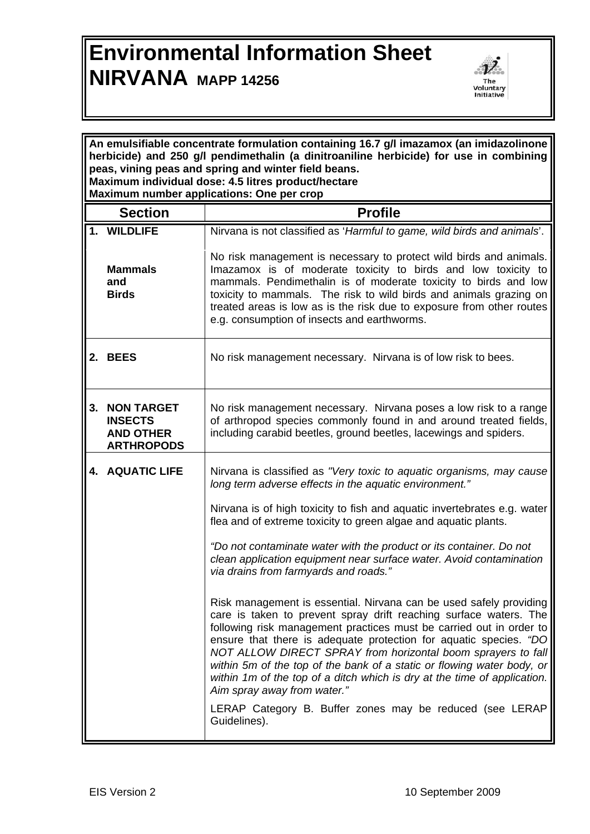## **Environmental Information Sheet NIRVANA MAPP 14256**



| An emulsifiable concentrate formulation containing 16.7 g/l imazamox (an imidazolinone<br>herbicide) and 250 g/l pendimethalin (a dinitroaniline herbicide) for use in combining<br>peas, vining peas and spring and winter field beans.<br>Maximum individual dose: 4.5 litres product/hectare<br>Maximum number applications: One per crop |                                                                              |                                                                                                                                                                                                                                                                                                                                                                                                                                                                                                                                          |  |
|----------------------------------------------------------------------------------------------------------------------------------------------------------------------------------------------------------------------------------------------------------------------------------------------------------------------------------------------|------------------------------------------------------------------------------|------------------------------------------------------------------------------------------------------------------------------------------------------------------------------------------------------------------------------------------------------------------------------------------------------------------------------------------------------------------------------------------------------------------------------------------------------------------------------------------------------------------------------------------|--|
|                                                                                                                                                                                                                                                                                                                                              | <b>Section</b>                                                               | <b>Profile</b>                                                                                                                                                                                                                                                                                                                                                                                                                                                                                                                           |  |
|                                                                                                                                                                                                                                                                                                                                              | 1. WILDLIFE                                                                  | Nirvana is not classified as 'Harmful to game, wild birds and animals'.                                                                                                                                                                                                                                                                                                                                                                                                                                                                  |  |
|                                                                                                                                                                                                                                                                                                                                              | <b>Mammals</b><br>and<br><b>Birds</b>                                        | No risk management is necessary to protect wild birds and animals.<br>Imazamox is of moderate toxicity to birds and low toxicity to<br>mammals. Pendimethalin is of moderate toxicity to birds and low<br>toxicity to mammals. The risk to wild birds and animals grazing on<br>treated areas is low as is the risk due to exposure from other routes<br>e.g. consumption of insects and earthworms.                                                                                                                                     |  |
|                                                                                                                                                                                                                                                                                                                                              | 2. BEES                                                                      | No risk management necessary. Nirvana is of low risk to bees.                                                                                                                                                                                                                                                                                                                                                                                                                                                                            |  |
| 3.                                                                                                                                                                                                                                                                                                                                           | <b>NON TARGET</b><br><b>INSECTS</b><br><b>AND OTHER</b><br><b>ARTHROPODS</b> | No risk management necessary. Nirvana poses a low risk to a range<br>of arthropod species commonly found in and around treated fields,<br>including carabid beetles, ground beetles, lacewings and spiders.                                                                                                                                                                                                                                                                                                                              |  |
|                                                                                                                                                                                                                                                                                                                                              | <b>4. AQUATIC LIFE</b>                                                       | Nirvana is classified as "Very toxic to aquatic organisms, may cause<br>long term adverse effects in the aquatic environment."                                                                                                                                                                                                                                                                                                                                                                                                           |  |
|                                                                                                                                                                                                                                                                                                                                              |                                                                              | Nirvana is of high toxicity to fish and aquatic invertebrates e.g. water<br>flea and of extreme toxicity to green algae and aquatic plants.                                                                                                                                                                                                                                                                                                                                                                                              |  |
|                                                                                                                                                                                                                                                                                                                                              |                                                                              | "Do not contaminate water with the product or its container. Do not<br>clean application equipment near surface water. Avoid contamination<br>via drains from farmyards and roads."                                                                                                                                                                                                                                                                                                                                                      |  |
|                                                                                                                                                                                                                                                                                                                                              |                                                                              | Risk management is essential. Nirvana can be used safely providing<br>care is taken to prevent spray drift reaching surface waters. The<br>following risk management practices must be carried out in order to<br>ensure that there is adequate protection for aquatic species. "DO<br>NOT ALLOW DIRECT SPRAY from horizontal boom sprayers to fall<br>within 5m of the top of the bank of a static or flowing water body, or<br>within 1m of the top of a ditch which is dry at the time of application.<br>Aim spray away from water." |  |
|                                                                                                                                                                                                                                                                                                                                              |                                                                              | LERAP Category B. Buffer zones may be reduced (see LERAP<br>Guidelines).                                                                                                                                                                                                                                                                                                                                                                                                                                                                 |  |